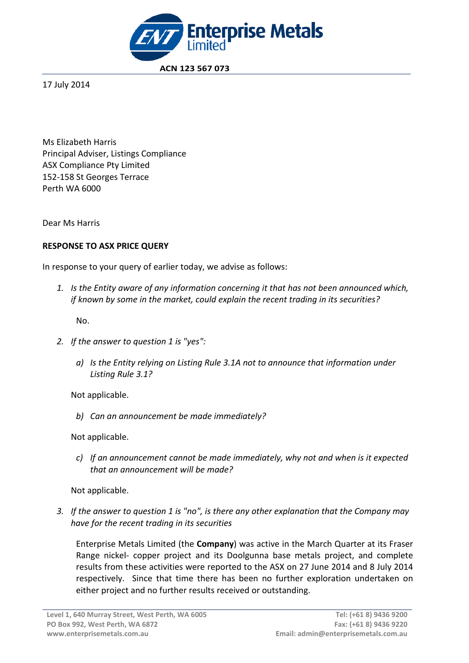

 **ACN 123 567 073**

17 July 2014

Ms Elizabeth Harris Principal Adviser, Listings Compliance ASX Compliance Pty Limited 152-158 St Georges Terrace Perth WA 6000

Dear Ms Harris

# **RESPONSE TO ASX PRICE QUERY**

In response to your query of earlier today, we advise as follows:

*1. Is the Entity aware of any information concerning it that has not been announced which, if known by some in the market, could explain the recent trading in its securities?*

No.

- *2. If the answer to question 1 is "yes":*
	- *a) Is the Entity relying on Listing Rule 3.1A not to announce that information under Listing Rule 3.1?*

Not applicable.

*b) Can an announcement be made immediately?*

Not applicable.

*c) If an announcement cannot be made immediately, why not and when is it expected that an announcement will be made?*

Not applicable.

*3. If the answer to question 1 is "no", is there any other explanation that the Company may have for the recent trading in its securities*

Enterprise Metals Limited (the **Company**) was active in the March Quarter at its Fraser Range nickel- copper project and its Doolgunna base metals project, and complete results from these activities were reported to the ASX on 27 June 2014 and 8 July 2014 respectively. Since that time there has been no further exploration undertaken on either project and no further results received or outstanding.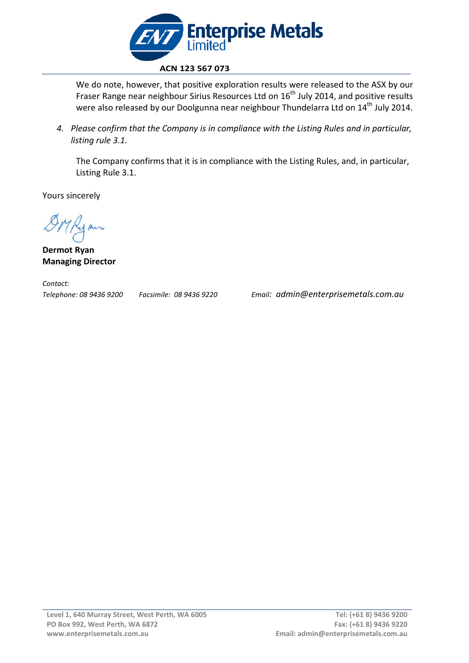

We do note, however, that positive exploration results were released to the ASX by our Fraser Range near neighbour Sirius Resources Ltd on  $16<sup>th</sup>$  July 2014, and positive results were also released by our Doolgunna near neighbour Thundelarra Ltd on 14<sup>th</sup> July 2014.

*4. Please confirm that the Company is in compliance with the Listing Rules and in particular, listing rule 3.1.*

The Company confirms that it is in compliance with the Listing Rules, and, in particular, Listing Rule 3.1.

Yours sincerely

**Dermot Ryan Managing Director**

*Contact:* 

*Telephone: 08 9436 9200 Facsimile: 08 9436 9220 Email: admin@enterprisemetals.com.au*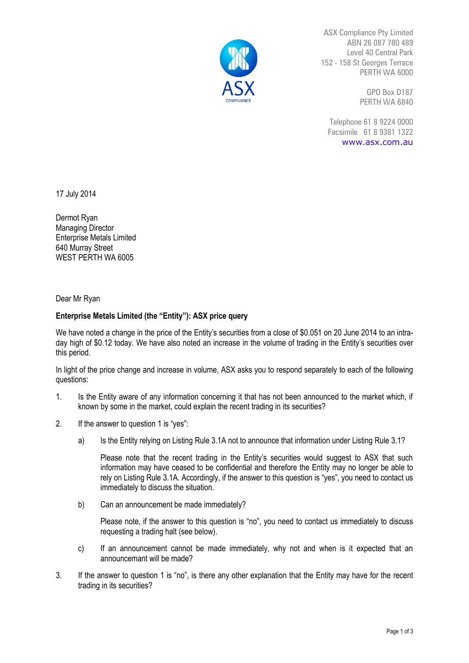

ASX Compliance Pty Limited ABN 26 087 780 489 Level 40 Central Park 152 - 158 St Georges Terrace PERTH WA 6000

> GPO Box D187 PERTH WA 6840

Telephone 61 8 9224 0000 Facsimile 61 8 9381 1322 [www.asx.com.au](http://www.asx.com.au/)

17 July 2014

Dermot Ryan Managing Director Enterprise Metals Limited 640 Murray Street WEST PERTH WA 6005

Dear Mr Ryan

## **Enterprise Metals Limited (the "Entity"): ASX price query**

We have noted a change in the price of the Entity's securities from a close of \$0.051 on 20 June 2014 to an intraday high of \$0.12 today. We have also noted an increase in the volume of trading in the Entity's securities over this period.

In light of the price change and increase in volume, ASX asks you to respond separately to each of the following questions:

- 1. Is the Entity aware of any information concerning it that has not been announced to the market which, if known by some in the market, could explain the recent trading in its securities?
- 2. If the answer to question 1 is "yes":
	- a) Is the Entity relying on Listing Rule 3.1A not to announce that information under Listing Rule 3.1?

Please note that the recent trading in the Entity's securities would suggest to ASX that such information may have ceased to be confidential and therefore the Entity may no longer be able to rely on Listing Rule 3.1A. Accordingly, if the answer to this question is "yes", you need to contact us immediately to discuss the situation.

b) Can an announcement be made immediately?

Please note, if the answer to this question is "no", you need to contact us immediately to discuss requesting a trading halt (see below).

- c) If an announcement cannot be made immediately, why not and when is it expected that an announcemant will be made?
- 3. If the answer to question 1 is "no", is there any other explanation that the Entity may have for the recent trading in its securities?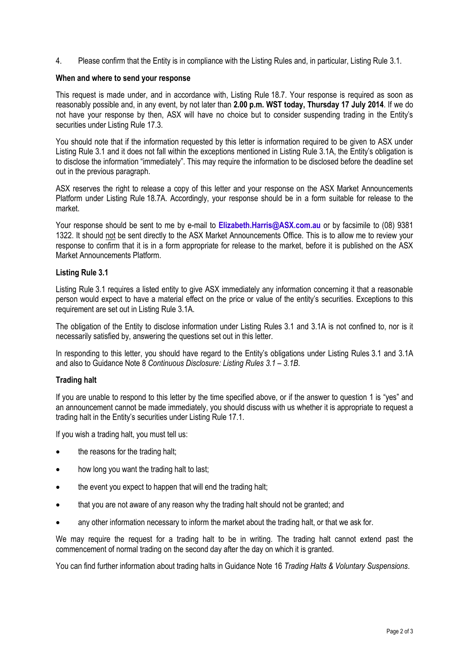4. Please confirm that the Entity is in compliance with the Listing Rules and, in particular, Listing Rule 3.1.

#### **When and where to send your response**

This request is made under, and in accordance with, Listing Rule 18.7. Your response is required as soon as reasonably possible and, in any event, by not later than **2.00 p.m. WST today, Thursday 17 July 2014**. If we do not have your response by then, ASX will have no choice but to consider suspending trading in the Entity's securities under Listing Rule 17.3.

You should note that if the information requested by this letter is information required to be given to ASX under Listing Rule 3.1 and it does not fall within the exceptions mentioned in Listing Rule 3.1A, the Entity's obligation is to disclose the information "immediately". This may require the information to be disclosed before the deadline set out in the previous paragraph.

ASX reserves the right to release a copy of this letter and your response on the ASX Market Announcements Platform under Listing Rule 18.7A. Accordingly, your response should be in a form suitable for release to the market.

Your response should be sent to me by e-mail to **[Elizabeth.Harris@ASX.com.au](mailto:Elizabeth.Harris@ASX.com.au)** or by facsimile to (08) 9381 1322. It should not be sent directly to the ASX Market Announcements Office. This is to allow me to review your response to confirm that it is in a form appropriate for release to the market, before it is published on the ASX Market Announcements Platform.

### **Listing Rule 3.1**

Listing Rule 3.1 requires a listed entity to give ASX immediately any information concerning it that a reasonable person would expect to have a material effect on the price or value of the entity's securities. Exceptions to this requirement are set out in Listing Rule 3.1A.

The obligation of the Entity to disclose information under Listing Rules 3.1 and 3.1A is not confined to, nor is it necessarily satisfied by, answering the questions set out in this letter.

In responding to this letter, you should have regard to the Entity's obligations under Listing Rules 3.1 and 3.1A and also to Guidance Note 8 *Continuous Disclosure: Listing Rules 3.1 – 3.1B*.

## **Trading halt**

If you are unable to respond to this letter by the time specified above, or if the answer to question 1 is "yes" and an announcement cannot be made immediately, you should discuss with us whether it is appropriate to request a trading halt in the Entity's securities under Listing Rule 17.1.

If you wish a trading halt, you must tell us:

- the reasons for the trading halt;
- how long you want the trading halt to last;
- the event you expect to happen that will end the trading halt;
- that you are not aware of any reason why the trading halt should not be granted; and
- any other information necessary to inform the market about the trading halt, or that we ask for.

We may require the request for a trading halt to be in writing. The trading halt cannot extend past the commencement of normal trading on the second day after the day on which it is granted.

You can find further information about trading halts in Guidance Note 16 *Trading Halts & Voluntary Suspensions*.